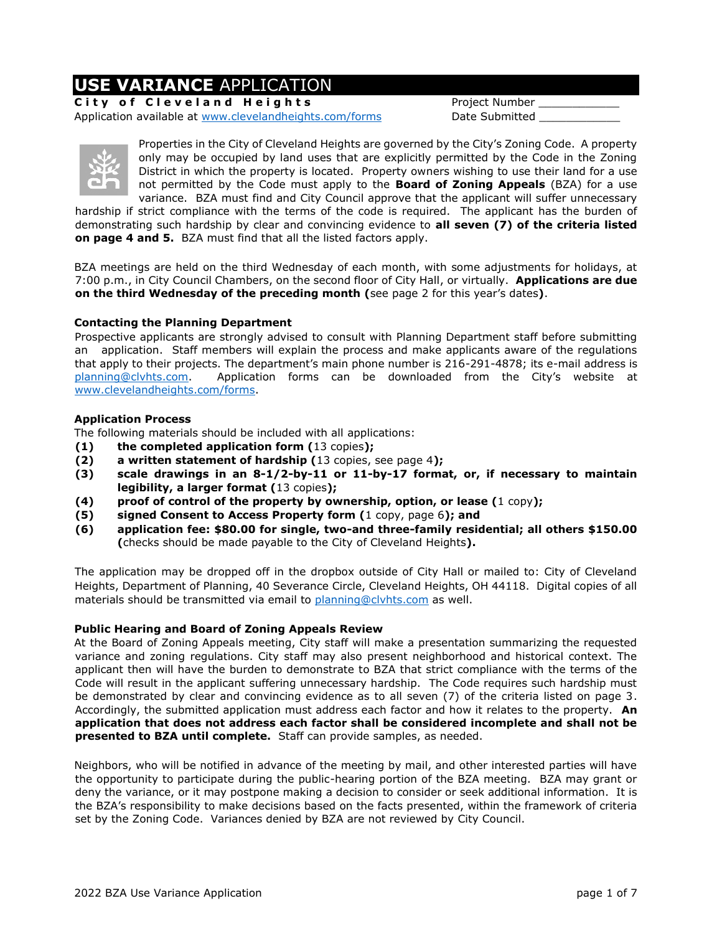### **USE VARIANCE** APPLICATION

**City of Cleveland Heights** Project Number Application available at [www.clevelandheights.com/forms](http://www.clevelandheights.com/forms) Date Submitted



Properties in the City of Cleveland Heights are governed by the City's Zoning Code. A property only may be occupied by land uses that are explicitly permitted by the Code in the Zoning District in which the property is located. Property owners wishing to use their land for a use not permitted by the Code must apply to the **Board of Zoning Appeals** (BZA) for a use variance. BZA must find and City Council approve that the applicant will suffer unnecessary

hardship if strict compliance with the terms of the code is required. The applicant has the burden of demonstrating such hardship by clear and convincing evidence to **all seven (7) of the criteria listed on page 4 and 5.** BZA must find that all the listed factors apply.

BZA meetings are held on the third Wednesday of each month, with some adjustments for holidays, at 7:00 p.m., in City Council Chambers, on the second floor of City Hall, or virtually. **Applications are due on the third Wednesday of the preceding month (**see page 2 for this year's dates**)**.

### **Contacting the Planning Department**

Prospective applicants are strongly advised to consult with Planning Department staff before submitting an application. Staff members will explain the process and make applicants aware of the regulations that apply to their projects. The department's main phone number is 216-291-4878; its e-mail address is [planning@clvhts.com.](mailto:planning@clvhts.com) Application forms can be downloaded from the City's website at [www.clevelandheights.com/forms.](http://www.clevelandheights.com/forms)

### **Application Process**

The following materials should be included with all applications:

- **(1) the completed application form (**13 copies**);**
- **(2) a written statement of hardship (**13 copies, see page 4**);**
- **(3) scale drawings in an 8-1/2-by-11 or 11-by-17 format, or, if necessary to maintain legibility, a larger format (**13 copies**);**
- **(4) proof of control of the property by ownership, option, or lease (**1 copy**);**
- **(5) signed Consent to Access Property form (**1 copy, page 6**); and**
- **(6) application fee: \$80.00 for single, two-and three-family residential; all others \$150.00 (**checks should be made payable to the City of Cleveland Heights**).**

The application may be dropped off in the dropbox outside of City Hall or mailed to: City of Cleveland Heights, Department of Planning, 40 Severance Circle, Cleveland Heights, OH 44118. Digital copies of all materials should be transmitted via email to [planning@clvhts.com](mailto:planning@clvhts.com) as well.

### **Public Hearing and Board of Zoning Appeals Review**

At the Board of Zoning Appeals meeting, City staff will make a presentation summarizing the requested variance and zoning regulations. City staff may also present neighborhood and historical context. The applicant then will have the burden to demonstrate to BZA that strict compliance with the terms of the Code will result in the applicant suffering unnecessary hardship. The Code requires such hardship must be demonstrated by clear and convincing evidence as to all seven (7) of the criteria listed on page 3. Accordingly, the submitted application must address each factor and how it relates to the property. **An application that does not address each factor shall be considered incomplete and shall not be presented to BZA until complete.** Staff can provide samples, as needed.

Neighbors, who will be notified in advance of the meeting by mail, and other interested parties will have the opportunity to participate during the public-hearing portion of the BZA meeting. BZA may grant or deny the variance, or it may postpone making a decision to consider or seek additional information. It is the BZA's responsibility to make decisions based on the facts presented, within the framework of criteria set by the Zoning Code. Variances denied by BZA are not reviewed by City Council.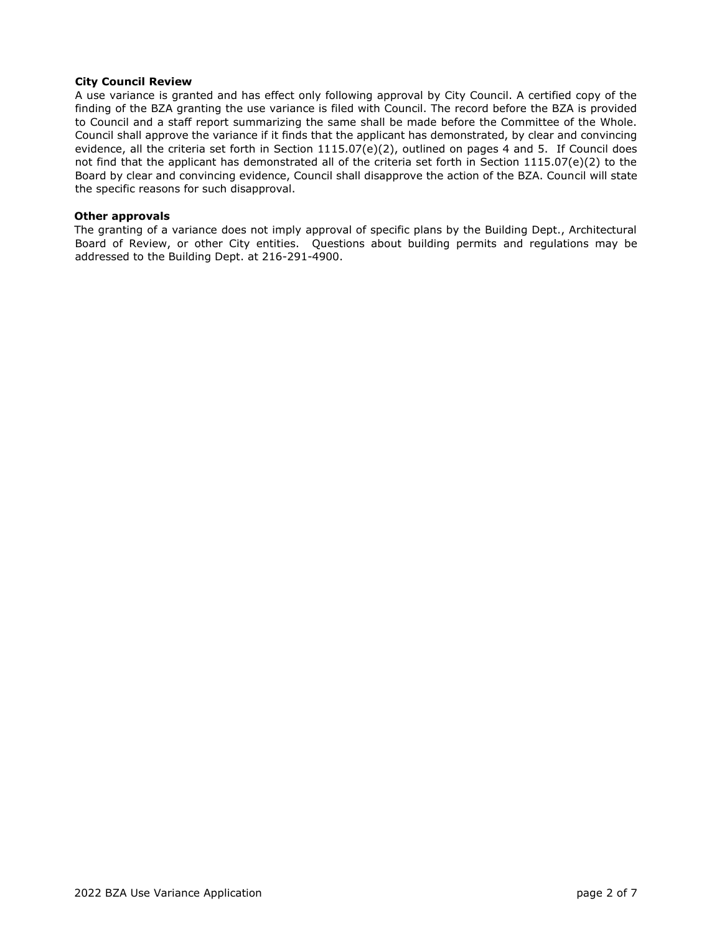### **City Council Review**

A use variance is granted and has effect only following approval by City Council. A certified copy of the finding of the BZA granting the use variance is filed with Council. The record before the BZA is provided to Council and a staff report summarizing the same shall be made before the Committee of the Whole. Council shall approve the variance if it finds that the applicant has demonstrated, by clear and convincing evidence, all the criteria set forth in Section 1115.07(e)(2), outlined on pages 4 and 5. If Council does not find that the applicant has demonstrated all of the criteria set forth in Section 1115.07(e)(2) to the Board by clear and convincing evidence, Council shall disapprove the action of the BZA. Council will state the specific reasons for such disapproval.

#### **Other approvals**

The granting of a variance does not imply approval of specific plans by the Building Dept., Architectural Board of Review, or other City entities. Questions about building permits and regulations may be addressed to the Building Dept. at 216-291-4900.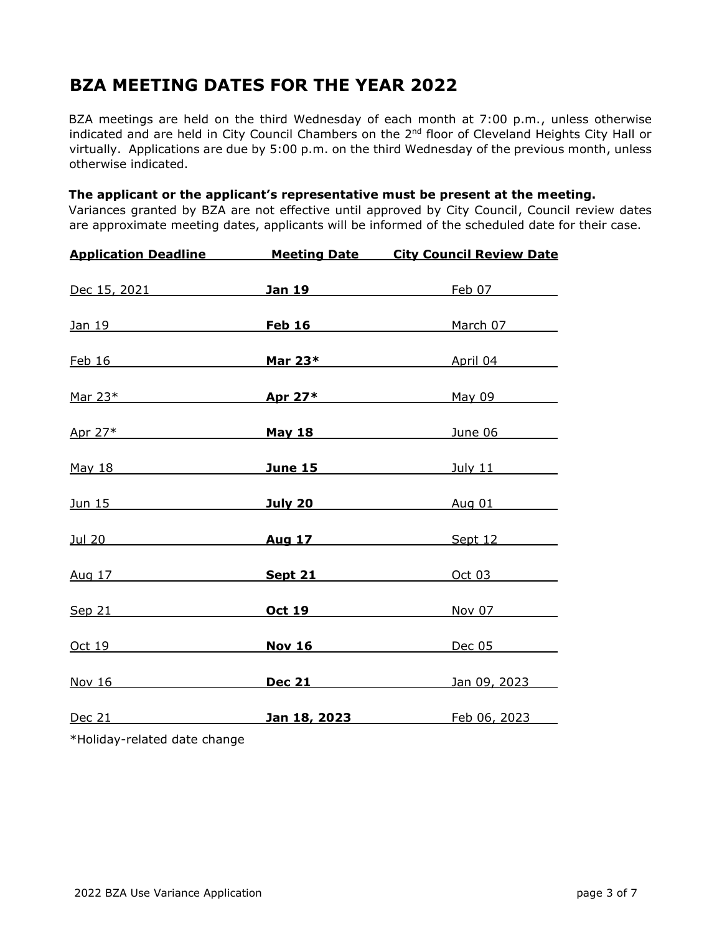# **BZA MEETING DATES FOR THE YEAR 2022**

BZA meetings are held on the third Wednesday of each month at 7:00 p.m., unless otherwise indicated and are held in City Council Chambers on the 2<sup>nd</sup> floor of Cleveland Heights City Hall or virtually. Applications are due by 5:00 p.m. on the third Wednesday of the previous month, unless otherwise indicated.

### **The applicant or the applicant's representative must be present at the meeting.**

Variances granted by BZA are not effective until approved by City Council, Council review dates are approximate meeting dates, applicants will be informed of the scheduled date for their case.

| <b>Application Deadline</b>                                                                                                                                                                                                    |         | <b>Meeting Date City Council Review Date</b>       |  |
|--------------------------------------------------------------------------------------------------------------------------------------------------------------------------------------------------------------------------------|---------|----------------------------------------------------|--|
| Dec 15, 2021 and the state of the state of the state of the state of the state of the state of the state of the state of the state of the state of the state of the state of the state of the state of the state of the state  |         | <b>Jan 19</b> Feb 07                               |  |
| <u>Jan 19</u>                                                                                                                                                                                                                  |         | Feb 16 March 07                                    |  |
| Feb 16 and the state of the state of the state of the state of the state of the state of the state of the state of the state of the state of the state of the state of the state of the state of the state of the state of the |         | Mar 23* April 04                                   |  |
|                                                                                                                                                                                                                                |         | $\frac{\text{Mar } 23^*}{\text{Mar } 23^*}$ May 09 |  |
|                                                                                                                                                                                                                                |         | Apr 27* <b>May 18</b> Dune 06                      |  |
| May 18 May 18                                                                                                                                                                                                                  |         | <b>June 15</b> <i>July 11 July 11</i>              |  |
|                                                                                                                                                                                                                                |         |                                                    |  |
|                                                                                                                                                                                                                                |         | Sept 12                                            |  |
| <u>Aug 17</u> and 17                                                                                                                                                                                                           | Sept 21 | $Oct$ 03                                           |  |
| Sep 21                                                                                                                                                                                                                         | Oct 19  | Nov 07                                             |  |
| Oct 19                                                                                                                                                                                                                         | Nov 16  | Dec 05                                             |  |
| $\sqrt{16}$                                                                                                                                                                                                                    | Dec 21  | Jan 09, 2023                                       |  |
|                                                                                                                                                                                                                                |         | Dec 21 <b>Jan 18, 2023</b> Feb 06, 2023            |  |
|                                                                                                                                                                                                                                |         |                                                    |  |

\*Holiday-related date change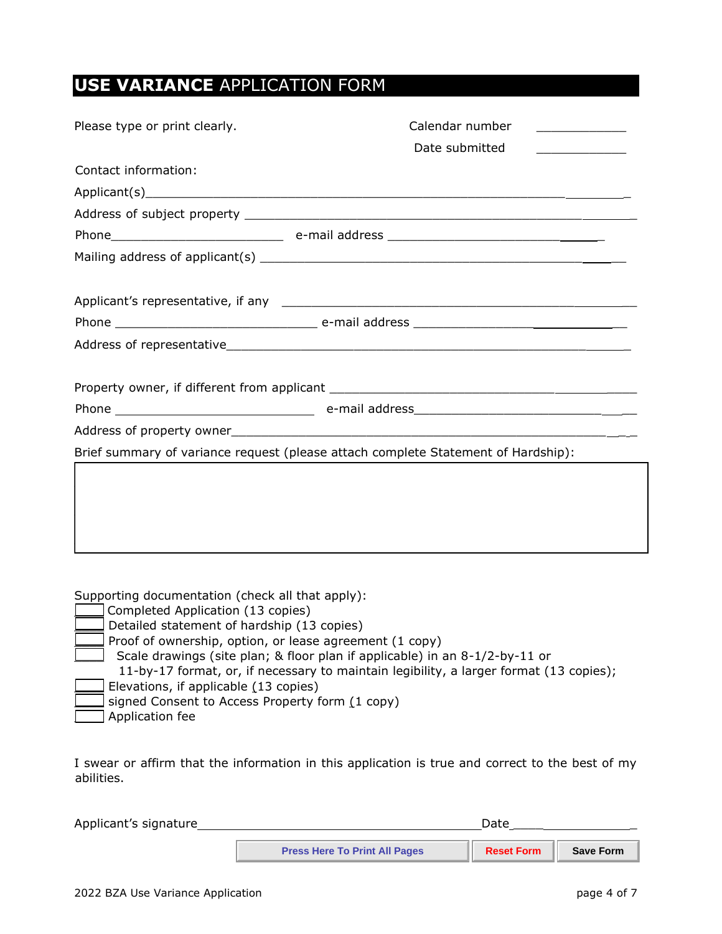# **USE VARIANCE** APPLICATION FORM

| Please type or print clearly.                                                     | Calendar number |  |  |  |  |
|-----------------------------------------------------------------------------------|-----------------|--|--|--|--|
|                                                                                   | Date submitted  |  |  |  |  |
| Contact information:                                                              |                 |  |  |  |  |
|                                                                                   |                 |  |  |  |  |
|                                                                                   |                 |  |  |  |  |
|                                                                                   |                 |  |  |  |  |
|                                                                                   |                 |  |  |  |  |
|                                                                                   |                 |  |  |  |  |
|                                                                                   |                 |  |  |  |  |
|                                                                                   |                 |  |  |  |  |
|                                                                                   |                 |  |  |  |  |
|                                                                                   |                 |  |  |  |  |
|                                                                                   |                 |  |  |  |  |
|                                                                                   |                 |  |  |  |  |
|                                                                                   |                 |  |  |  |  |
| Brief summary of variance request (please attach complete Statement of Hardship): |                 |  |  |  |  |
|                                                                                   |                 |  |  |  |  |
|                                                                                   |                 |  |  |  |  |
|                                                                                   |                 |  |  |  |  |
|                                                                                   |                 |  |  |  |  |
|                                                                                   |                 |  |  |  |  |
|                                                                                   |                 |  |  |  |  |

Supporting documentation (check all that apply):

|  | Completed Application (13 copies)                                                      |
|--|----------------------------------------------------------------------------------------|
|  | Detailed statement of hardship (13 copies)                                             |
|  | Proof of ownership, option, or lease agreement (1 copy)                                |
|  | Scale drawings (site plan; & floor plan if applicable) in an 8-1/2-by-11 or            |
|  | 11-by-17 format, or, if necessary to maintain legibility, a larger format (13 copies); |
|  | Elevations, if applicable (13 copies)                                                  |
|  | signed Consent to Access Property form (1 copy)                                        |
|  | Application fee                                                                        |
|  |                                                                                        |

I swear or affirm that the information in this application is true and correct to the best of my abilities.

| Applicant's signature | Date                                 |                   |                  |
|-----------------------|--------------------------------------|-------------------|------------------|
|                       | <b>Press Here To Print All Pages</b> | <b>Reset Form</b> | <b>Save Form</b> |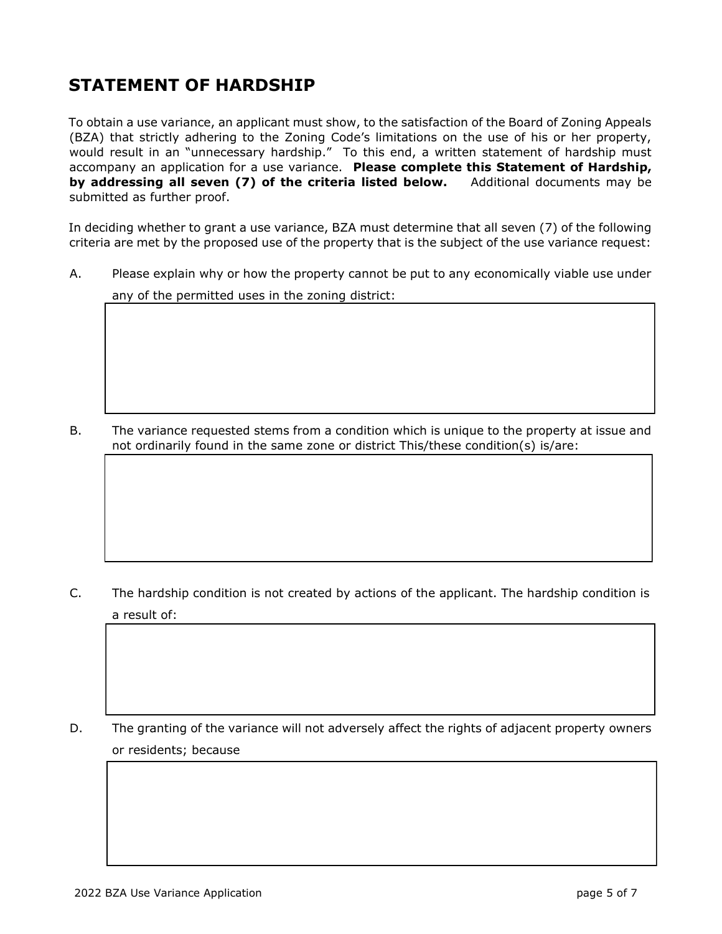# **STATEMENT OF HARDSHIP**

To obtain a use variance, an applicant must show, to the satisfaction of the Board of Zoning Appeals (BZA) that strictly adhering to the Zoning Code's limitations on the use of his or her property, would result in an "unnecessary hardship." To this end, a written statement of hardship must accompany an application for a use variance. **Please complete this Statement of Hardship, by addressing all seven (7) of the criteria listed below.** Additional documents may be submitted as further proof.

In deciding whether to grant a use variance, BZA must determine that all seven (7) of the following criteria are met by the proposed use of the property that is the subject of the use variance request:

A. Please explain why or how the property cannot be put to any economically viable use under

any of the permitted uses in the zoning district:

B. The variance requested stems from a condition which is unique to the property at issue and not ordinarily found in the same zone or district This/these condition(s) is/are:

C. The hardship condition is not created by actions of the applicant. The hardship condition is a result of:

D. The granting of the variance will not adversely affect the rights of adjacent property owners or residents; because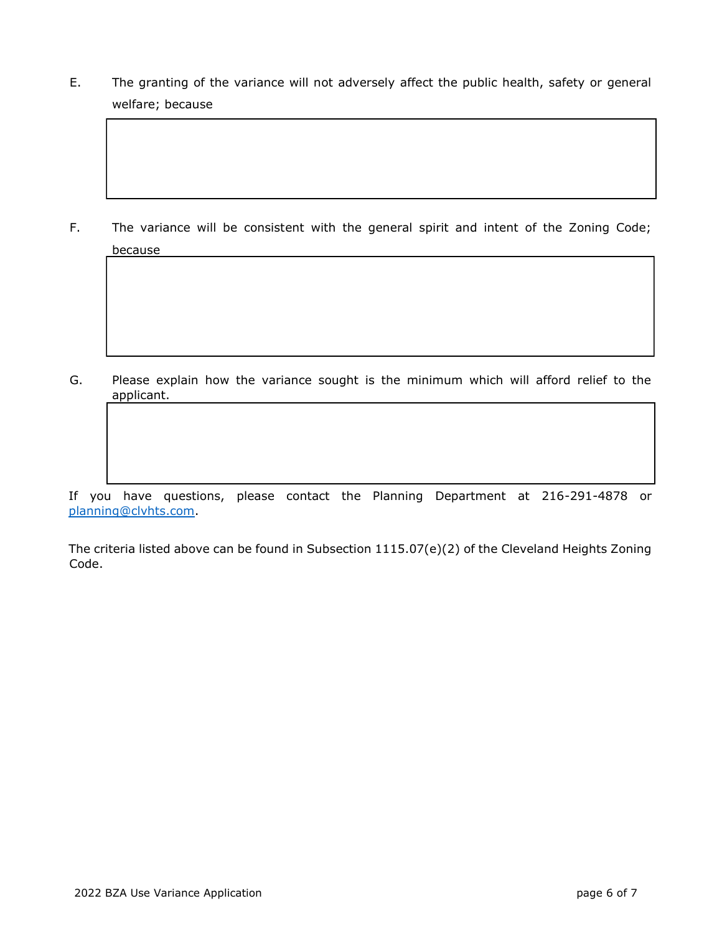E. The granting of the variance will not adversely affect the public health, safety or general welfare; because

F. The variance will be consistent with the general spirit and intent of the Zoning Code; because

 $\mathcal{L}_\text{max}$  $\mathcal{L}_\mathcal{L} = \mathcal{L}_\mathcal{L}$ 

 $\mathcal{L}_\mathcal{L} = \{ \mathcal{L}_\mathcal{L} = \{ \mathcal{L}_\mathcal{L} = \{ \mathcal{L}_\mathcal{L} = \{ \mathcal{L}_\mathcal{L} = \{ \mathcal{L}_\mathcal{L} = \{ \mathcal{L}_\mathcal{L} = \{ \mathcal{L}_\mathcal{L} = \{ \mathcal{L}_\mathcal{L} = \{ \mathcal{L}_\mathcal{L} = \{ \mathcal{L}_\mathcal{L} = \{ \mathcal{L}_\mathcal{L} = \{ \mathcal{L}_\mathcal{L} = \{ \mathcal{L}_\mathcal{L} = \{ \mathcal{L}_\mathcal{$  $\mathcal{L}_\mathcal{L} = \{ \mathcal{L}_\mathcal{L} = \{ \mathcal{L}_\mathcal{L} = \{ \mathcal{L}_\mathcal{L} = \{ \mathcal{L}_\mathcal{L} = \{ \mathcal{L}_\mathcal{L} = \{ \mathcal{L}_\mathcal{L} = \{ \mathcal{L}_\mathcal{L} = \{ \mathcal{L}_\mathcal{L} = \{ \mathcal{L}_\mathcal{L} = \{ \mathcal{L}_\mathcal{L} = \{ \mathcal{L}_\mathcal{L} = \{ \mathcal{L}_\mathcal{L} = \{ \mathcal{L}_\mathcal{L} = \{ \mathcal{L}_\mathcal{$ 

 $\mathcal{L}_\text{max}$  and the set of the set of the set of the set of the set of the set of the set of the set of the set of  $\mathcal{L}_\mathcal{L} = \{ \mathcal{L}_\mathcal{L} = \{ \mathcal{L}_\mathcal{L} = \{ \mathcal{L}_\mathcal{L} = \{ \mathcal{L}_\mathcal{L} = \{ \mathcal{L}_\mathcal{L} = \{ \mathcal{L}_\mathcal{L} = \{ \mathcal{L}_\mathcal{L} = \{ \mathcal{L}_\mathcal{L} = \{ \mathcal{L}_\mathcal{L} = \{ \mathcal{L}_\mathcal{L} = \{ \mathcal{L}_\mathcal{L} = \{ \mathcal{L}_\mathcal{L} = \{ \mathcal{L}_\mathcal{L} = \{ \mathcal{L}_\mathcal{$ 

G. Please explain how the variance sought is the minimum which will afford relief to the applicant.

If you have questions, please contact the Planning Department at 216-291-4878 or [planning@clvhts.com.](mailto:planning@clvhts.com)

The criteria listed above can be found in Subsection 1115.07(e)(2) of the Cleveland Heights Zoning Code.